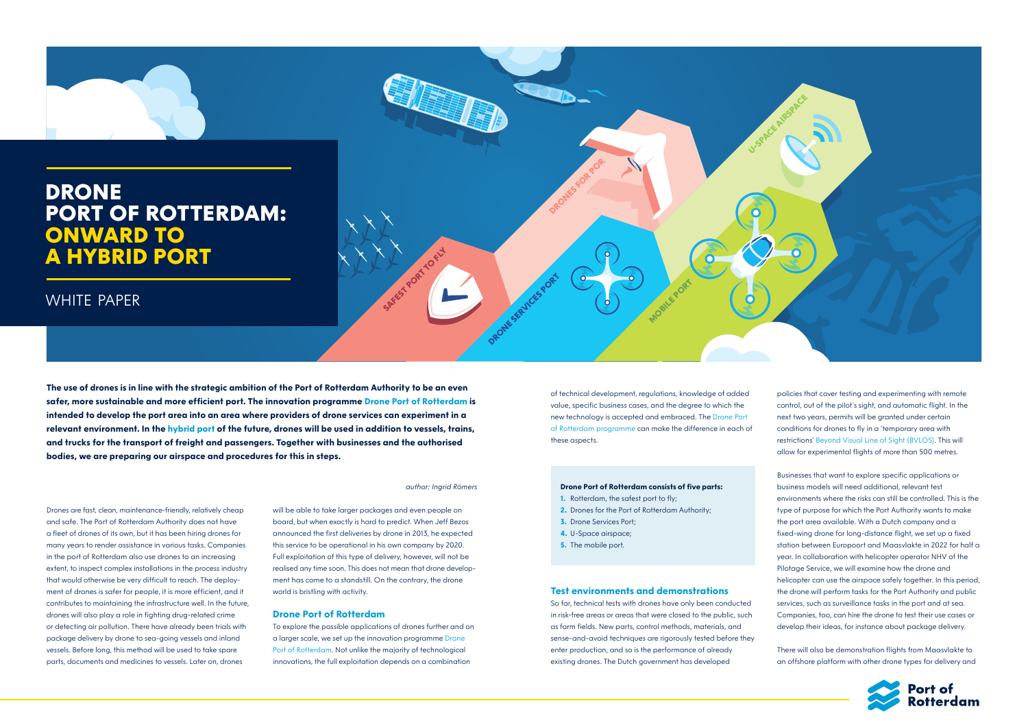**DRONES FOR POR**

**DRONE SERVICES PORT** 



*author: Ingrid Römers*

**SAFEST PORT TO FLY** 

**The use of drones is in line with the strategic ambition of the Port of Rotterdam Authority to be an even safer, more sustainable and more efficient port. The innovation programme Drone Port of Rotterdam is intended to develop the port area into an area where providers of drone services can experiment in a relevant environment. In the hybrid port of the future, drones will be used in addition to vessels, trains, and trucks for the transport of freight and passengers. Together with businesses and the authorised bodies, we are preparing our airspace and procedures for this in steps.**

Drones are fast, clean, maintenance-friendly, relatively cheap and safe. The Port of Rotterdam Authority does not have a fleet of drones of its own, but it has been hiring drones for many years to render assistance in various tasks. Companies in the port of Rotterdam also use drones to an increasing extent, to inspect complex installations in the process industry that would otherwise be very difficult to reach. The deployment of drones is safer for people, it is more efficient, and it contributes to maintaining the infrastructure well. In the future, drones will also play a role in fighting drug-related crime or detecting air pollution. There have already been trials with package delivery by drone to sea-going vessels and inland vessels. Before long, this method will be used to take spare parts, documents and medicines to vessels. Later on, drones

- **1.** Rotterdam, the safest port to fly:
- **2.** Drones for the Port of Rotterdam Authority:
- **3.** Drone Services Port;
- **4.** U-Space airspace;

will be able to take larger packages and even people on board, but when exactly is hard to predict. When Jeff Bezos announced the first deliveries by drone in 2013, he expected this service to be operational in his own company by 2020. Full exploitation of this type of delivery, however, will not be realised any time soon. This does not mean that drone development has come to a standstill. On the contrary, the drone world is bristling with activity.

#### **Drone Port of Rotterdam**

To explore the possible applications of drones further and on a larger scale, we set up the innovation programme Drone Port of Rotterdam. Not unlike the majority of technological innovations, the full exploitation depends on a combination

of technical development, regulations, knowledge of added value, specific business cases, and the degree to which the new technology is accepted and embraced. The Drone Port of Rotterdam programme can make the difference in each of these aspects.

**MOBILE PORT** 

#### **Drone Port of Rotterdam consists of five parts:**

**5.** The mobile port.

#### **Test environments and demonstrations**

So far, technical tests with drones have only been conducted in risk-free areas or areas that were closed to the public, such as farm fields. New parts, control methods, materials, and sense-and-avoid techniques are rigorously tested before they enter production, and so is the performance of already existing drones. The Dutch government has developed

policies that cover testing and experimenting with remote control, out of the pilot's sight, and automatic flight. In the next two years, permits will be granted under certain conditions for drones to fly in a 'temporary area with restrictions' Beyond Visual Line of Sight (BVLOS). This will allow for experimental flights of more than 500 metres.

Businesses that want to explore specific applications or business models will need additional, relevant test environments where the risks can still be controlled. This is the type of purpose for which the Port Authority wants to make the port area available. With a Dutch company and a fixed-wing drone for long-distance flight, we set up a fixed station between Europoort and Maasvlakte in 2022 for half a year. In collaboration with helicopter operator NHV of the Pilotage Service, we will examine how the drone and helicopter can use the airspace safely together. In this period, the drone will perform tasks for the Port Authority and public services, such as surveillance tasks in the port and at sea. Companies, too, can hire the drone to test their use cases or develop their ideas, for instance about package delivery.

There will also be demonstration flights from Maasvlakte to an offshore platform with other drone types for delivery and



# **DRONE PORT OF ROTTERDAM: ONWARD TO A HYBRID PORT**

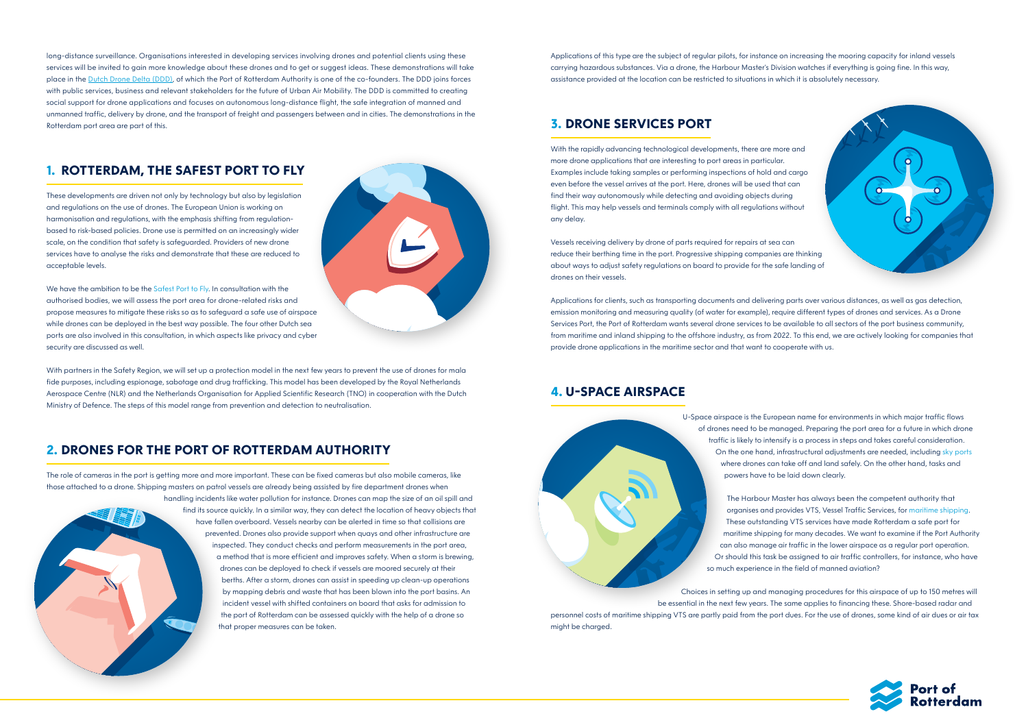long-distance surveillance. Organisations interested in developing services involving drones and potential clients using these services will be invited to gain more knowledge about these drones and to get or suggest ideas. These demonstrations will take place in the [Dutch Drone Delta \(DDD\),](https://www.dutchdronedelta.nl/) of which the Port of Rotterdam Authority is one of the co-founders. The DDD joins forces with public services, business and relevant stakeholders for the future of Urban Air Mobility. The DDD is committed to creating social support for drone applications and focuses on autonomous long-distance flight, the safe integration of manned and unmanned traffic, delivery by drone, and the transport of freight and passengers between and in cities. The demonstrations in the Rotterdam port area are part of this.

# **1. ROTTERDAM, THE SAFEST PORT TO FLY**

We have the ambition to be the Safest Port to Fly. In consultation with the authorised bodies, we will assess the port area for drone-related risks and propose measures to mitigate these risks so as to safeguard a safe use of airspace while drones can be deployed in the best way possible. The four other Dutch sea ports are also involved in this consultation, in which aspects like privacy and cyber security are discussed as well.

These developments are driven not only by technology but also by legislation and regulations on the use of drones. The European Union is working on harmonisation and regulations, with the emphasis shifting from regulationbased to risk-based policies. Drone use is permitted on an increasingly wider scale, on the condition that safety is safeguarded. Providers of new drone services have to analyse the risks and demonstrate that these are reduced to acceptable levels.

With partners in the Safety Region, we will set up a protection model in the next few years to prevent the use of drones for mala fide purposes, including espionage, sabotage and drug trafficking. This model has been developed by the Royal Netherlands Aerospace Centre (NLR) and the Netherlands Organisation for Applied Scientific Research (TNO) in cooperation with the Dutch Ministry of Defence. The steps of this model range from prevention and detection to neutralisation.

# **2. DRONES FOR THE PORT OF ROTTERDAM AUTHORITY**

The role of cameras in the port is getting more and more important. These can be fixed cameras but also mobile cameras, like those attached to a drone. Shipping masters on patrol vessels are already being assisted by fire department drones when



handling incidents like water pollution for instance. Drones can map the size of an oil spill and find its source quickly. In a similar way, they can detect the location of heavy objects that have fallen overboard. Vessels nearby can be alerted in time so that collisions are prevented. Drones also provide support when quays and other infrastructure are inspected. They conduct checks and perform measurements in the port area, a method that is more efficient and improves safety. When a storm is brewing, drones can be deployed to check if vessels are moored securely at their berths. After a storm, drones can assist in speeding up clean-up operations by mapping debris and waste that has been blown into the port basins. An incident vessel with shifted containers on board that asks for admission to the port of Rotterdam can be assessed quickly with the help of a drone so that proper measures can be taken.

Applications of this type are the subject of regular pilots, for instance on increasing the mooring capacity for inland vessels carrying hazardous substances. Via a drone, the Harbour Master's Division watches if everything is going fine. In this way, assistance provided at the location can be restricted to situations in which it is absolutely necessary.

# **3. DRONE SERVICES PORT**

With the rapidly advancing technological developments, there are more and more drone applications that are interesting to port areas in particular. Examples include taking samples or performing inspections of hold and cargo even before the vessel arrives at the port. Here, drones will be used that can find their way autonomously while detecting and avoiding objects during flight. This may help vessels and terminals comply with all regulations without any delay.

Vessels receiving delivery by drone of parts required for repairs at sea can reduce their berthing time in the port. Progressive shipping companies are thinking about ways to adjust safety regulations on board to provide for the safe landing of drones on their vessels.

Applications for clients, such as transporting documents and delivering parts over various distances, as well as gas detection, emission monitoring and measuring quality (of water for example), require different types of drones and services. As a Drone Services Port, the Port of Rotterdam wants several drone services to be available to all sectors of the port business community, from maritime and inland shipping to the offshore industry, as from 2022. To this end, we are actively looking for companies that provide drone applications in the maritime sector and that want to cooperate with us.

### **4. U-SPACE AIRSPACE**



U-Space airspace is the European name for environments in which major traffic flows of drones need to be managed. Preparing the port area for a future in which drone traffic is likely to intensify is a process in steps and takes careful consideration. On the one hand, infrastructural adjustments are needed, including sky ports where drones can take off and land safely. On the other hand, tasks and powers have to be laid down clearly.

The Harbour Master has always been the competent authority that organises and provides VTS, Vessel Traffic Services, for maritime shipping. These outstanding VTS services have made Rotterdam a safe port for maritime shipping for many decades. We want to examine if the Port Authority can also manage air traffic in the lower airspace as a regular port operation. Or should this task be assigned to air traffic controllers, for instance, who have so much experience in the field of manned aviation?



Choices in setting up and managing procedures for this airspace of up to 150 metres will be essential in the next few years. The same applies to financing these. Shore-based radar and personnel costs of maritime shipping VTS are partly paid from the port dues. For the use of drones, some kind of air dues or air tax might be charged.